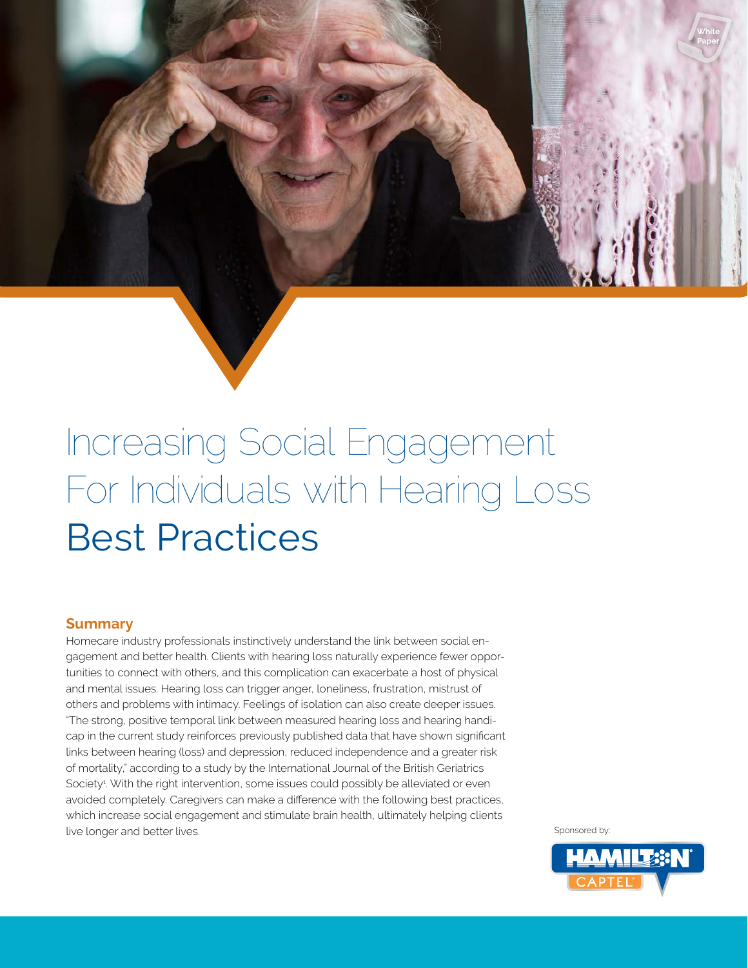

# Increasing Social Engagement For Individuals with Hearing Loss Best Practices

### **Summary**

Homecare industry professionals instinctively understand the link between social engagement and better health. Clients with hearing loss naturally experience fewer opportunities to connect with others, and this complication can exacerbate a host of physical and mental issues. Hearing loss can trigger anger, loneliness, frustration, mistrust of others and problems with intimacy. Feelings of isolation can also create deeper issues. "The strong, positive temporal link between measured hearing loss and hearing handicap in the current study reinforces previously published data that have shown significant links between hearing (loss) and depression, reduced independence and a greater risk of mortality," according to a study by the International Journal of the British Geriatrics Society<sup>4</sup>. With the right intervention, some issues could possibly be alleviated or even avoided completely. Caregivers can make a difference with the following best practices, which increase social engagement and stimulate brain health, ultimately helping clients live longer and better lives. Sponsored by: Sponsored by: Sponsored by: Sponsored by: Sponsored by: Sponsored by: Sponsored by: Sponsored by: Sponsored by: Sponsored by: Sponsored by: Sponsored by: Sponsored by: Sponsored

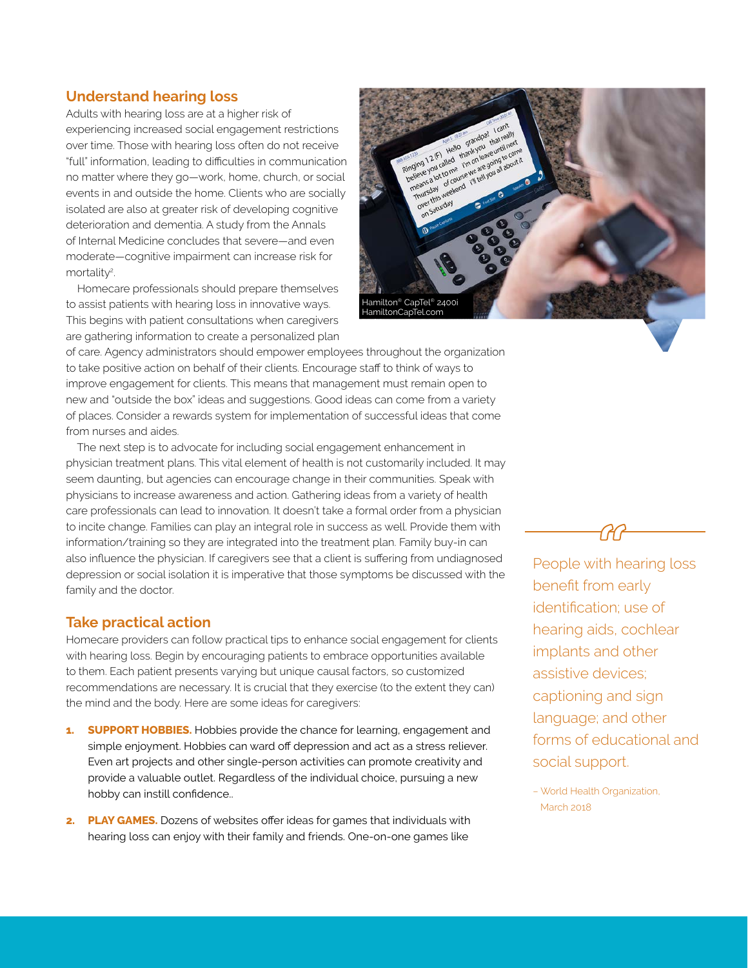#### **Understand hearing loss**

Adults with hearing loss are at a higher risk of experiencing increased social engagement restrictions over time. Those with hearing loss often do not receive "full" information, leading to difficulties in communication no matter where they go—work, home, church, or social events in and outside the home. Clients who are socially isolated are also at greater risk of developing cognitive deterioration and dementia. A study from the Annals of Internal Medicine concludes that severe—and even moderate—cognitive impairment can increase risk for mortality<sup>2</sup>. .

 Homecare professionals should prepare themselves to assist patients with hearing loss in innovative ways. This begins with patient consultations when caregivers are gathering information to create a personalized plan



of care. Agency administrators should empower employees throughout the organization to take positive action on behalf of their clients. Encourage staff to think of ways to improve engagement for clients. This means that management must remain open to new and "outside the box" ideas and suggestions. Good ideas can come from a variety of places. Consider a rewards system for implementation of successful ideas that come from nurses and aides.

 The next step is to advocate for including social engagement enhancement in physician treatment plans. This vital element of health is not customarily included. It may seem daunting, but agencies can encourage change in their communities. Speak with physicians to increase awareness and action. Gathering ideas from a variety of health care professionals can lead to innovation. It doesn't take a formal order from a physician to incite change. Families can play an integral role in success as well. Provide them with information/training so they are integrated into the treatment plan. Family buy-in can also influence the physician. If caregivers see that a client is suffering from undiagnosed depression or social isolation it is imperative that those symptoms be discussed with the family and the doctor.

#### **Take practical action**

Homecare providers can follow practical tips to enhance social engagement for clients with hearing loss. Begin by encouraging patients to embrace opportunities available to them. Each patient presents varying but unique causal factors, so customized recommendations are necessary. It is crucial that they exercise (to the extent they can) the mind and the body. Here are some ideas for caregivers:

- **1. SUPPORT HOBBIES.** Hobbies provide the chance for learning, engagement and simple enjoyment. Hobbies can ward off depression and act as a stress reliever. Even art projects and other single-person activities can promote creativity and provide a valuable outlet. Regardless of the individual choice, pursuing a new hobby can instill confidence..
- **2. PLAY GAMES.** Dozens of websites offer ideas for games that individuals with hearing loss can enjoy with their family and friends. One-on-one games like

People with hearing loss benefit from early identification; use of hearing aids, cochlear implants and other assistive devices; captioning and sign language; and other forms of educational and social support.

– World Health Organization, March 2018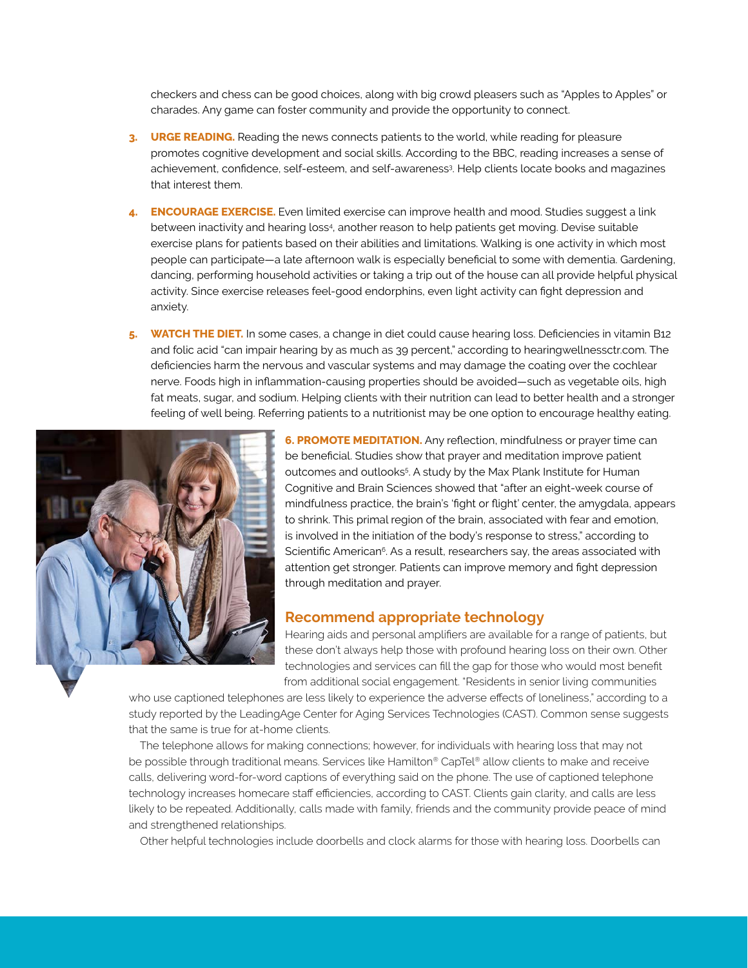checkers and chess can be good choices, along with big crowd pleasers such as "Apples to Apples" or charades. Any game can foster community and provide the opportunity to connect.

- **3. URGE READING.** Reading the news connects patients to the world, while reading for pleasure promotes cognitive development and social skills. According to the BBC, reading increases a sense of achievement, confidence, self-esteem, and self-awareness<sup>3</sup> . Help clients locate books and magazines that interest them.
- **4. ENCOURAGE EXERCISE.** Even limited exercise can improve health and mood. Studies suggest a link between inactivity and hearing loss4 , another reason to help patients get moving. Devise suitable exercise plans for patients based on their abilities and limitations. Walking is one activity in which most people can participate—a late afternoon walk is especially beneficial to some with dementia. Gardening, dancing, performing household activities or taking a trip out of the house can all provide helpful physical activity. Since exercise releases feel-good endorphins, even light activity can fight depression and anxiety.
- **5. WATCH THE DIET.** In some cases, a change in diet could cause hearing loss. Deficiencies in vitamin B12 and folic acid "can impair hearing by as much as 39 percent," according to hearingwellnessctr.com. The deficiencies harm the nervous and vascular systems and may damage the coating over the cochlear nerve. Foods high in inflammation-causing properties should be avoided—such as vegetable oils, high fat meats, sugar, and sodium. Helping clients with their nutrition can lead to better health and a stronger feeling of well being. Referring patients to a nutritionist may be one option to encourage healthy eating.



**6. PROMOTE MEDITATION.** Any reflection, mindfulness or prayer time can be beneficial. Studies show that prayer and meditation improve patient outcomes and outlooks<sup>5</sup>. A study by the Max Plank Institute for Human Cognitive and Brain Sciences showed that "after an eight-week course of mindfulness practice, the brain's 'fight or flight' center, the amygdala, appears to shrink. This primal region of the brain, associated with fear and emotion, is involved in the initiation of the body's response to stress," according to Scientific American<sup>6</sup>. As a result, researchers say, the areas associated with attention get stronger. Patients can improve memory and fight depression through meditation and prayer.

#### **Recommend appropriate technology**

Hearing aids and personal amplifiers are available for a range of patients, but these don't always help those with profound hearing loss on their own. Other technologies and services can fill the gap for those who would most benefit from additional social engagement. "Residents in senior living communities

who use captioned telephones are less likely to experience the adverse effects of loneliness," according to a study reported by the LeadingAge Center for Aging Services Technologies (CAST). Common sense suggests that the same is true for at-home clients.

 The telephone allows for making connections; however, for individuals with hearing loss that may not be possible through traditional means. Services like Hamilton® CapTel® allow clients to make and receive calls, delivering word-for-word captions of everything said on the phone. The use of captioned telephone technology increases homecare staff efficiencies, according to CAST. Clients gain clarity, and calls are less likely to be repeated. Additionally, calls made with family, friends and the community provide peace of mind and strengthened relationships.

Other helpful technologies include doorbells and clock alarms for those with hearing loss. Doorbells can